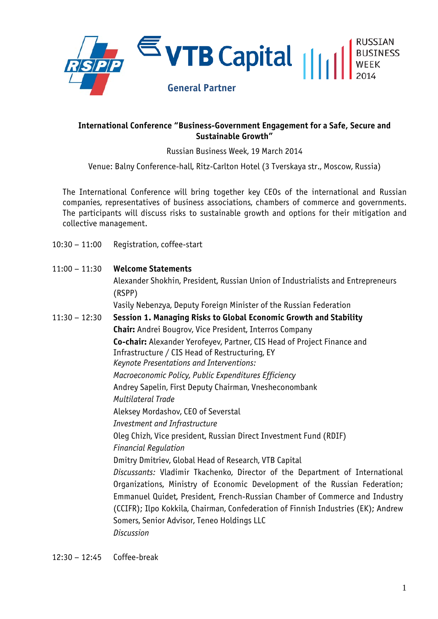

## **International Conference "Business-Government Engagement for a Safe, Secure and Sustainable Growth"**

Russian Business Week, 19 March 2014

Venue: Balny Conference-hall, Ritz-Carlton Hotel (3 Tverskaya str., Moscow, Russia)

The International Conference will bring together key CEOs of the international and Russian companies, representatives of business associations, chambers of commerce and governments. The participants will discuss risks to sustainable growth and options for their mitigation and collective management.

10:30 – 11:00 Registration, coffee-start

| $11:00 - 11:30$ | <b>Welcome Statements</b>                                                                                                                                                                                                                                                                                                                                                                         |
|-----------------|---------------------------------------------------------------------------------------------------------------------------------------------------------------------------------------------------------------------------------------------------------------------------------------------------------------------------------------------------------------------------------------------------|
|                 | Alexander Shokhin, President, Russian Union of Industrialists and Entrepreneurs                                                                                                                                                                                                                                                                                                                   |
|                 | (RSPP)                                                                                                                                                                                                                                                                                                                                                                                            |
|                 | Vasily Nebenzya, Deputy Foreign Minister of the Russian Federation                                                                                                                                                                                                                                                                                                                                |
| $11:30 - 12:30$ | Session 1. Managing Risks to Global Economic Growth and Stability                                                                                                                                                                                                                                                                                                                                 |
|                 | <b>Chair:</b> Andrei Bougrov, Vice President, Interros Company                                                                                                                                                                                                                                                                                                                                    |
|                 | Co-chair: Alexander Yerofeyev, Partner, CIS Head of Project Finance and<br>Infrastructure / CIS Head of Restructuring, EY<br>Keynote Presentations and Interventions:                                                                                                                                                                                                                             |
|                 | Macroeconomic Policy, Public Expenditures Efficiency                                                                                                                                                                                                                                                                                                                                              |
|                 | Andrey Sapelin, First Deputy Chairman, Vnesheconombank                                                                                                                                                                                                                                                                                                                                            |
|                 | <b>Multilateral Trade</b>                                                                                                                                                                                                                                                                                                                                                                         |
|                 | Aleksey Mordashov, CEO of Severstal                                                                                                                                                                                                                                                                                                                                                               |
|                 | <b>Investment and Infrastructure</b>                                                                                                                                                                                                                                                                                                                                                              |
|                 | Oleg Chizh, Vice president, Russian Direct Investment Fund (RDIF)                                                                                                                                                                                                                                                                                                                                 |
|                 | <b>Financial Regulation</b>                                                                                                                                                                                                                                                                                                                                                                       |
|                 | Dmitry Dmitriev, Global Head of Research, VTB Capital                                                                                                                                                                                                                                                                                                                                             |
|                 | Discussants: Vladimir Tkachenko, Director of the Department of International<br>Organizations, Ministry of Economic Development of the Russian Federation;<br>Emmanuel Quidet, President, French-Russian Chamber of Commerce and Industry<br>(CCIFR); Ilpo Kokkila, Chairman, Confederation of Finnish Industries (EK); Andrew<br>Somers, Senior Advisor, Teneo Holdings LLC<br><b>Discussion</b> |
|                 |                                                                                                                                                                                                                                                                                                                                                                                                   |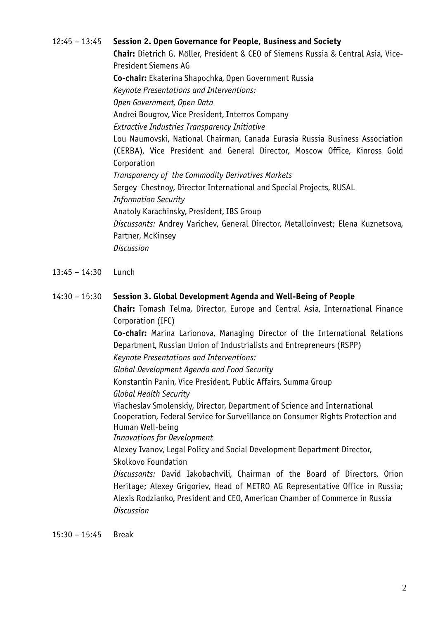12:45 – 13:45 **Session 2. Open Governance for People, Business and Society Chair:** Dietrich G. Möller, President & CEO of Siemens Russia & Central Asia, Vice-President Siemens AG **Co-chair:** Ekaterina Shapochka, Open Government Russia *Keynote Presentations and Interventions: Open Government, Open Data* Andrei Bougrov, Vice President, Interros Company *Extractive Industries Transparency Initiative* Lou Naumovski, National Chairman, Canada Eurasia Russia Business Association (CERBA), Vice President and General Director, Moscow Office, Kinross Gold Corporation *Transparency of the Commodity Derivatives Markets* Sergey Chestnoy, Director International and Special Projects, RUSAL *Information Security*  Anatoly Karachinsky, President, IBS Group *Discussants:* Andrey Varichev, General Director, Metalloinvest; Elena Kuznetsova, Partner, McKinsey *Discussion*

- 13:45 14:30 Lunch
- 14:30 15:30 **Session 3. Global Development Agenda and Well-Being of People**

**Chair:** Tomash Telma, Director, Europe and Central Asia, International Finance Corporation (IFC)

**Co-chair:** Marina Larionova, Managing Director of the International Relations Department, Russian Union of Industrialists and Entrepreneurs (RSPP)

*Keynote Presentations and Interventions:*

*Global Development Agenda and Food Security*

Konstantin Panin, Vice President, Public Affairs, Summa Group

*Global Health Security*

Viacheslav Smolenskiy, Director, Department of Science and International Cooperation, Federal Service for Surveillance on Consumer Rights Protection and Human Well-being

*Innovations for Development*

Alexey Ivanov, Legal Policy and Social Development Department Director, Skolkovo Foundation

*Discussants:* David Iakobachvili, Chairman of the Board of Directors, Orion Heritage; Alexey Grigoriev, Head of METRO AG Representative Office in Russia; Alexis Rodzianko, President and CEO, American Chamber of Commerce in Russia *Discussion*

15:30 – 15:45 Break